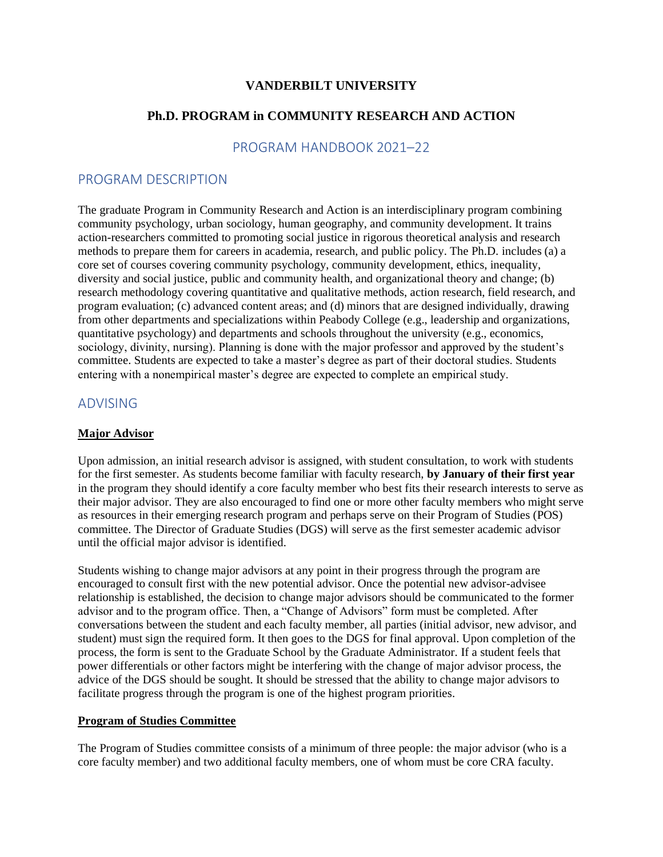# **VANDERBILT UNIVERSITY**

# **Ph.D. PROGRAM in COMMUNITY RESEARCH AND ACTION**

## PROGRAM HANDBOOK 2021–22

### PROGRAM DESCRIPTION

The graduate Program in Community Research and Action is an interdisciplinary program combining community psychology, urban sociology, human geography, and community development. It trains action-researchers committed to promoting social justice in rigorous theoretical analysis and research methods to prepare them for careers in academia, research, and public policy. The Ph.D. includes (a) a core set of courses covering community psychology, community development, ethics, inequality, diversity and social justice, public and community health, and organizational theory and change; (b) research methodology covering quantitative and qualitative methods, action research, field research, and program evaluation; (c) advanced content areas; and (d) minors that are designed individually, drawing from other departments and specializations within Peabody College (e.g., leadership and organizations, quantitative psychology) and departments and schools throughout the university (e.g., economics, sociology, divinity, nursing). Planning is done with the major professor and approved by the student's committee. Students are expected to take a master's degree as part of their doctoral studies. Students entering with a nonempirical master's degree are expected to complete an empirical study.

# ADVISING

#### **Major Advisor**

Upon admission, an initial research advisor is assigned, with student consultation, to work with students for the first semester. As students become familiar with faculty research, **by January of their first year** in the program they should identify a core faculty member who best fits their research interests to serve as their major advisor. They are also encouraged to find one or more other faculty members who might serve as resources in their emerging research program and perhaps serve on their Program of Studies (POS) committee. The Director of Graduate Studies (DGS) will serve as the first semester academic advisor until the official major advisor is identified.

Students wishing to change major advisors at any point in their progress through the program are encouraged to consult first with the new potential advisor. Once the potential new advisor-advisee relationship is established, the decision to change major advisors should be communicated to the former advisor and to the program office. Then, a "Change of Advisors" form must be completed. After conversations between the student and each faculty member, all parties (initial advisor, new advisor, and student) must sign the required form. It then goes to the DGS for final approval. Upon completion of the process, the form is sent to the Graduate School by the Graduate Administrator. If a student feels that power differentials or other factors might be interfering with the change of major advisor process, the advice of the DGS should be sought. It should be stressed that the ability to change major advisors to facilitate progress through the program is one of the highest program priorities.

#### **Program of Studies Committee**

The Program of Studies committee consists of a minimum of three people: the major advisor (who is a core faculty member) and two additional faculty members, one of whom must be core CRA faculty.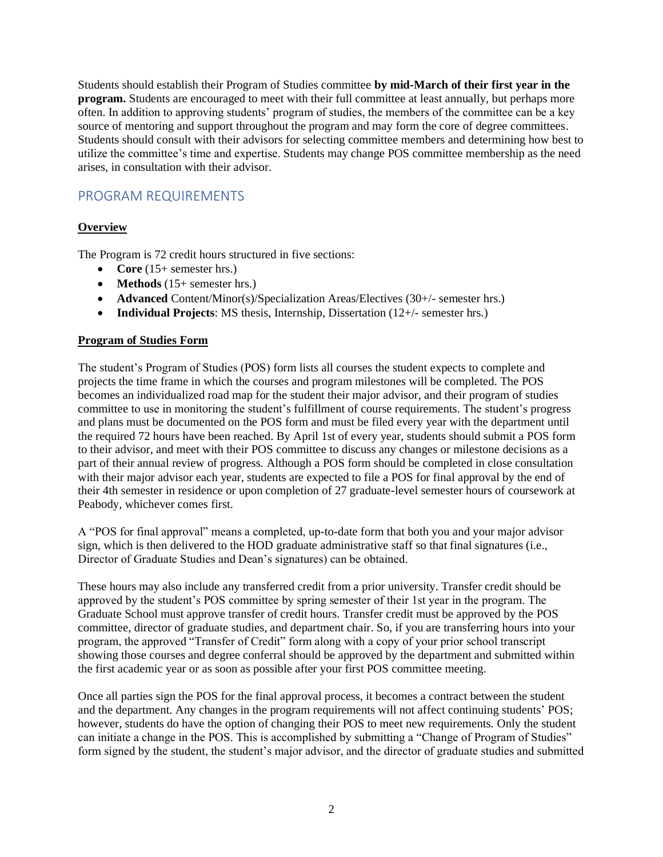Students should establish their Program of Studies committee **by mid-March of their first year in the program.** Students are encouraged to meet with their full committee at least annually, but perhaps more often. In addition to approving students' program of studies, the members of the committee can be a key source of mentoring and support throughout the program and may form the core of degree committees. Students should consult with their advisors for selecting committee members and determining how best to utilize the committee's time and expertise. Students may change POS committee membership as the need arises, in consultation with their advisor.

# PROGRAM REQUIREMENTS

# **Overview**

The Program is 72 credit hours structured in five sections:

- **Core** (15+ semester hrs.)
- **Methods** (15+ semester hrs.)
- **Advanced** Content/Minor(s)/Specialization Areas/Electives (30+/- semester hrs.)
- **Individual Projects**: MS thesis, Internship, Dissertation (12+/- semester hrs.)

# **Program of Studies Form**

The student's Program of Studies (POS) form lists all courses the student expects to complete and projects the time frame in which the courses and program milestones will be completed. The POS becomes an individualized road map for the student their major advisor, and their program of studies committee to use in monitoring the student's fulfillment of course requirements. The student's progress and plans must be documented on the POS form and must be filed every year with the department until the required 72 hours have been reached. By April 1st of every year, students should submit a POS form to their advisor, and meet with their POS committee to discuss any changes or milestone decisions as a part of their annual review of progress. Although a POS form should be completed in close consultation with their major advisor each year, students are expected to file a POS for final approval by the end of their 4th semester in residence or upon completion of 27 graduate-level semester hours of coursework at Peabody, whichever comes first.

A "POS for final approval" means a completed, up-to-date form that both you and your major advisor sign, which is then delivered to the HOD graduate administrative staff so that final signatures (i.e., Director of Graduate Studies and Dean's signatures) can be obtained.

These hours may also include any transferred credit from a prior university. Transfer credit should be approved by the student's POS committee by spring semester of their 1st year in the program. The Graduate School must approve transfer of credit hours. Transfer credit must be approved by the POS committee, director of graduate studies, and department chair. So, if you are transferring hours into your program, the approved "Transfer of Credit" form along with a copy of your prior school transcript showing those courses and degree conferral should be approved by the department and submitted within the first academic year or as soon as possible after your first POS committee meeting.

Once all parties sign the POS for the final approval process, it becomes a contract between the student and the department. Any changes in the program requirements will not affect continuing students' POS; however, students do have the option of changing their POS to meet new requirements. Only the student can initiate a change in the POS. This is accomplished by submitting a "Change of Program of Studies" form signed by the student, the student's major advisor, and the director of graduate studies and submitted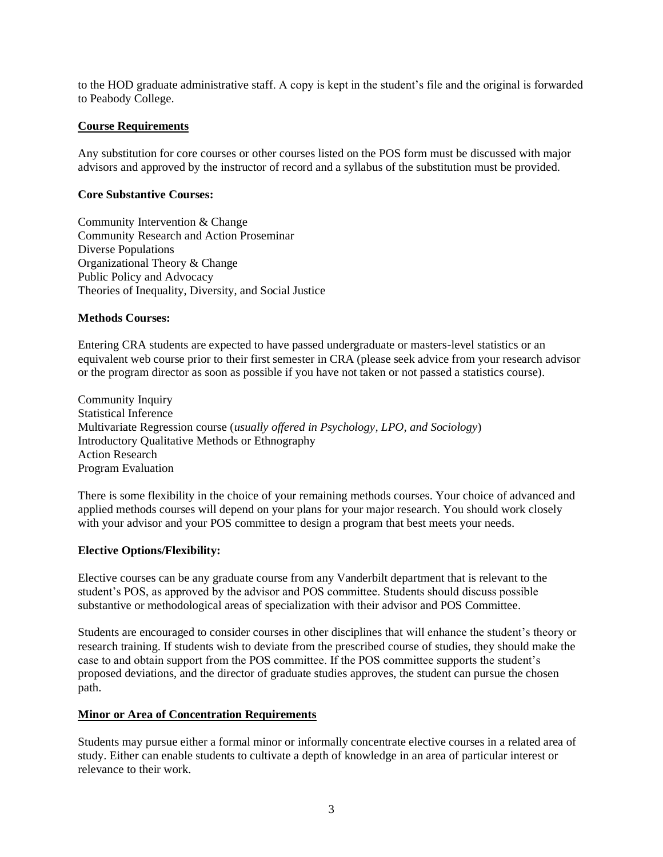to the HOD graduate administrative staff. A copy is kept in the student's file and the original is forwarded to Peabody College.

#### **Course Requirements**

Any substitution for core courses or other courses listed on the POS form must be discussed with major advisors and approved by the instructor of record and a syllabus of the substitution must be provided.

#### **Core Substantive Courses:**

Community Intervention & Change Community Research and Action Proseminar Diverse Populations Organizational Theory & Change Public Policy and Advocacy Theories of Inequality, Diversity, and Social Justice

#### **Methods Courses:**

Entering CRA students are expected to have passed undergraduate or masters-level statistics or an equivalent web course prior to their first semester in CRA (please seek advice from your research advisor or the program director as soon as possible if you have not taken or not passed a statistics course).

Community Inquiry Statistical Inference Multivariate Regression course (*usually offered in Psychology, LPO, and Sociology*) Introductory Qualitative Methods or Ethnography Action Research Program Evaluation

There is some flexibility in the choice of your remaining methods courses. Your choice of advanced and applied methods courses will depend on your plans for your major research. You should work closely with your advisor and your POS committee to design a program that best meets your needs.

#### **Elective Options/Flexibility:**

Elective courses can be any graduate course from any Vanderbilt department that is relevant to the student's POS, as approved by the advisor and POS committee. Students should discuss possible substantive or methodological areas of specialization with their advisor and POS Committee.

Students are encouraged to consider courses in other disciplines that will enhance the student's theory or research training. If students wish to deviate from the prescribed course of studies, they should make the case to and obtain support from the POS committee. If the POS committee supports the student's proposed deviations, and the director of graduate studies approves, the student can pursue the chosen path.

#### **Minor or Area of Concentration Requirements**

Students may pursue either a formal minor or informally concentrate elective courses in a related area of study. Either can enable students to cultivate a depth of knowledge in an area of particular interest or relevance to their work.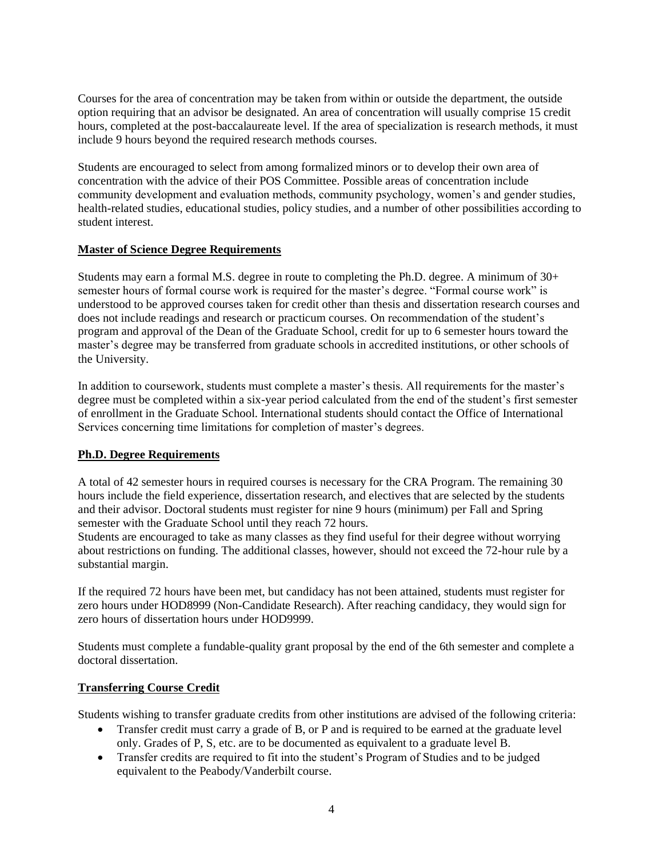Courses for the area of concentration may be taken from within or outside the department, the outside option requiring that an advisor be designated. An area of concentration will usually comprise 15 credit hours, completed at the post-baccalaureate level. If the area of specialization is research methods, it must include 9 hours beyond the required research methods courses.

Students are encouraged to select from among formalized minors or to develop their own area of concentration with the advice of their POS Committee. Possible areas of concentration include community development and evaluation methods, community psychology, women's and gender studies, health-related studies, educational studies, policy studies, and a number of other possibilities according to student interest.

# **Master of Science Degree Requirements**

Students may earn a formal M.S. degree in route to completing the Ph.D. degree. A minimum of 30+ semester hours of formal course work is required for the master's degree. "Formal course work" is understood to be approved courses taken for credit other than thesis and dissertation research courses and does not include readings and research or practicum courses. On recommendation of the student's program and approval of the Dean of the Graduate School, credit for up to 6 semester hours toward the master's degree may be transferred from graduate schools in accredited institutions, or other schools of the University.

In addition to coursework, students must complete a master's thesis. All requirements for the master's degree must be completed within a six-year period calculated from the end of the student's first semester of enrollment in the Graduate School. International students should contact the Office of International Services concerning time limitations for completion of master's degrees.

# **Ph.D. Degree Requirements**

A total of 42 semester hours in required courses is necessary for the CRA Program. The remaining 30 hours include the field experience, dissertation research, and electives that are selected by the students and their advisor. Doctoral students must register for nine 9 hours (minimum) per Fall and Spring semester with the Graduate School until they reach 72 hours.

Students are encouraged to take as many classes as they find useful for their degree without worrying about restrictions on funding. The additional classes, however, should not exceed the 72-hour rule by a substantial margin.

If the required 72 hours have been met, but candidacy has not been attained, students must register for zero hours under HOD8999 (Non-Candidate Research). After reaching candidacy, they would sign for zero hours of dissertation hours under HOD9999.

Students must complete a fundable-quality grant proposal by the end of the 6th semester and complete a doctoral dissertation.

#### **Transferring Course Credit**

Students wishing to transfer graduate credits from other institutions are advised of the following criteria:

- Transfer credit must carry a grade of B, or P and is required to be earned at the graduate level only. Grades of P, S, etc. are to be documented as equivalent to a graduate level B.
- Transfer credits are required to fit into the student's Program of Studies and to be judged equivalent to the Peabody/Vanderbilt course.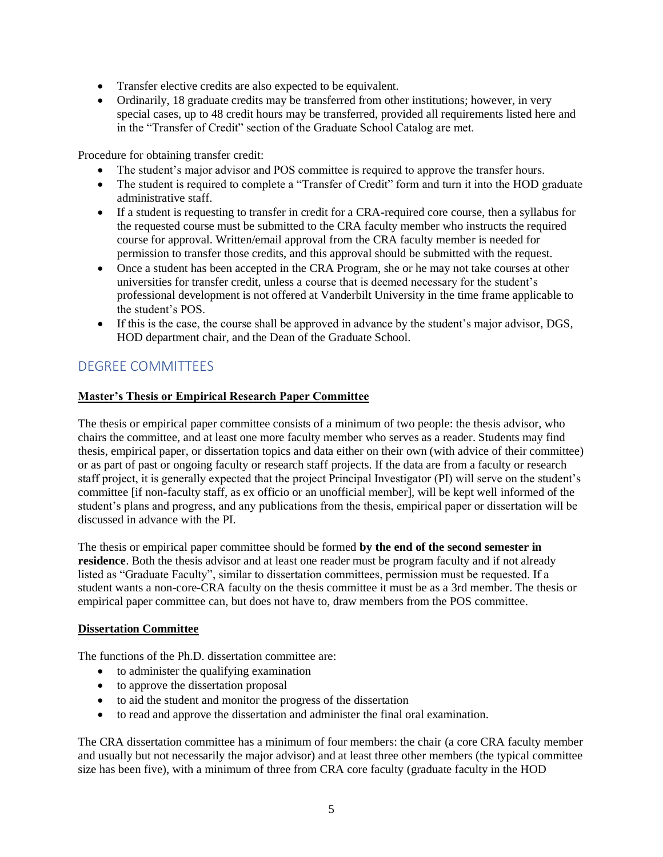- Transfer elective credits are also expected to be equivalent.
- Ordinarily, 18 graduate credits may be transferred from other institutions; however, in very special cases, up to 48 credit hours may be transferred, provided all requirements listed here and in the "Transfer of Credit" section of the Graduate School Catalog are met.

Procedure for obtaining transfer credit:

- The student's major advisor and POS committee is required to approve the transfer hours.
- The student is required to complete a "Transfer of Credit" form and turn it into the HOD graduate administrative staff.
- If a student is requesting to transfer in credit for a CRA-required core course, then a syllabus for the requested course must be submitted to the CRA faculty member who instructs the required course for approval. Written/email approval from the CRA faculty member is needed for permission to transfer those credits, and this approval should be submitted with the request.
- Once a student has been accepted in the CRA Program, she or he may not take courses at other universities for transfer credit, unless a course that is deemed necessary for the student's professional development is not offered at Vanderbilt University in the time frame applicable to the student's POS.
- If this is the case, the course shall be approved in advance by the student's major advisor, DGS, HOD department chair, and the Dean of the Graduate School.

# DEGREE COMMITTEES

# **Master's Thesis or Empirical Research Paper Committee**

The thesis or empirical paper committee consists of a minimum of two people: the thesis advisor, who chairs the committee, and at least one more faculty member who serves as a reader. Students may find thesis, empirical paper, or dissertation topics and data either on their own (with advice of their committee) or as part of past or ongoing faculty or research staff projects. If the data are from a faculty or research staff project, it is generally expected that the project Principal Investigator (PI) will serve on the student's committee [if non-faculty staff, as ex officio or an unofficial member], will be kept well informed of the student's plans and progress, and any publications from the thesis, empirical paper or dissertation will be discussed in advance with the PI.

The thesis or empirical paper committee should be formed **by the end of the second semester in residence**. Both the thesis advisor and at least one reader must be program faculty and if not already listed as "Graduate Faculty", similar to dissertation committees, permission must be requested. If a student wants a non-core-CRA faculty on the thesis committee it must be as a 3rd member. The thesis or empirical paper committee can, but does not have to, draw members from the POS committee.

#### **Dissertation Committee**

The functions of the Ph.D. dissertation committee are:

- to administer the qualifying examination
- to approve the dissertation proposal
- to aid the student and monitor the progress of the dissertation
- to read and approve the dissertation and administer the final oral examination.

The CRA dissertation committee has a minimum of four members: the chair (a core CRA faculty member and usually but not necessarily the major advisor) and at least three other members (the typical committee size has been five), with a minimum of three from CRA core faculty (graduate faculty in the HOD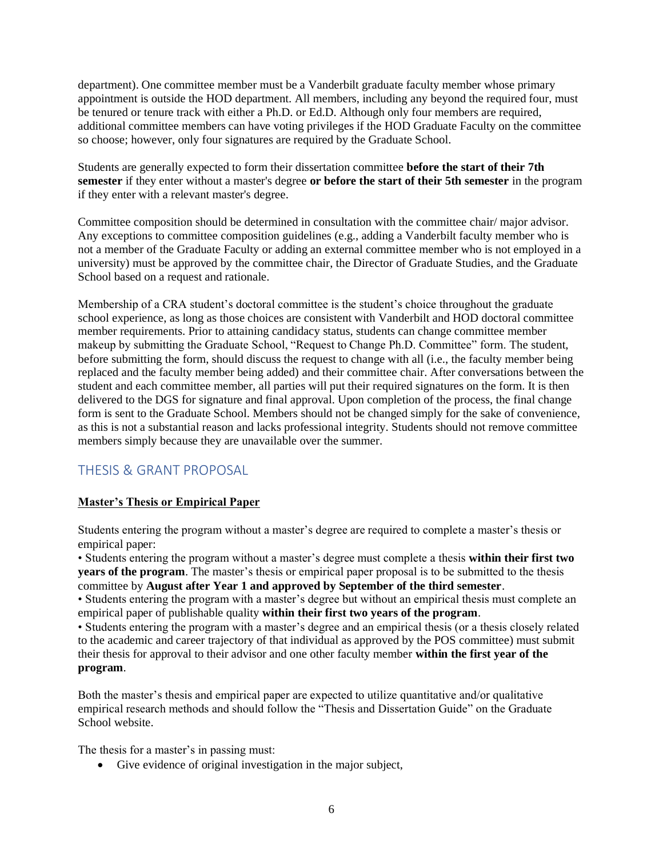department). One committee member must be a Vanderbilt graduate faculty member whose primary appointment is outside the HOD department. All members, including any beyond the required four, must be tenured or tenure track with either a Ph.D. or Ed.D. Although only four members are required, additional committee members can have voting privileges if the HOD Graduate Faculty on the committee so choose; however, only four signatures are required by the Graduate School.

Students are generally expected to form their dissertation committee **before the start of their 7th semester** if they enter without a master's degree **or before the start of their 5th semester** in the program if they enter with a relevant master's degree.

Committee composition should be determined in consultation with the committee chair/ major advisor. Any exceptions to committee composition guidelines (e.g., adding a Vanderbilt faculty member who is not a member of the Graduate Faculty or adding an external committee member who is not employed in a university) must be approved by the committee chair, the Director of Graduate Studies, and the Graduate School based on a request and rationale.

Membership of a CRA student's doctoral committee is the student's choice throughout the graduate school experience, as long as those choices are consistent with Vanderbilt and HOD doctoral committee member requirements. Prior to attaining candidacy status, students can change committee member makeup by submitting the Graduate School, "Request to Change Ph.D. Committee" form. The student, before submitting the form, should discuss the request to change with all (i.e., the faculty member being replaced and the faculty member being added) and their committee chair. After conversations between the student and each committee member, all parties will put their required signatures on the form. It is then delivered to the DGS for signature and final approval. Upon completion of the process, the final change form is sent to the Graduate School. Members should not be changed simply for the sake of convenience, as this is not a substantial reason and lacks professional integrity. Students should not remove committee members simply because they are unavailable over the summer.

# THESIS & GRANT PROPOSAL

# **Master's Thesis or Empirical Paper**

Students entering the program without a master's degree are required to complete a master's thesis or empirical paper:

• Students entering the program without a master's degree must complete a thesis **within their first two years of the program**. The master's thesis or empirical paper proposal is to be submitted to the thesis committee by **August after Year 1 and approved by September of the third semester**.

• Students entering the program with a master's degree but without an empirical thesis must complete an empirical paper of publishable quality **within their first two years of the program**.

• Students entering the program with a master's degree and an empirical thesis (or a thesis closely related to the academic and career trajectory of that individual as approved by the POS committee) must submit their thesis for approval to their advisor and one other faculty member **within the first year of the program**.

Both the master's thesis and empirical paper are expected to utilize quantitative and/or qualitative empirical research methods and should follow the "Thesis and Dissertation Guide" on the Graduate School website.

The thesis for a master's in passing must:

• Give evidence of original investigation in the major subject,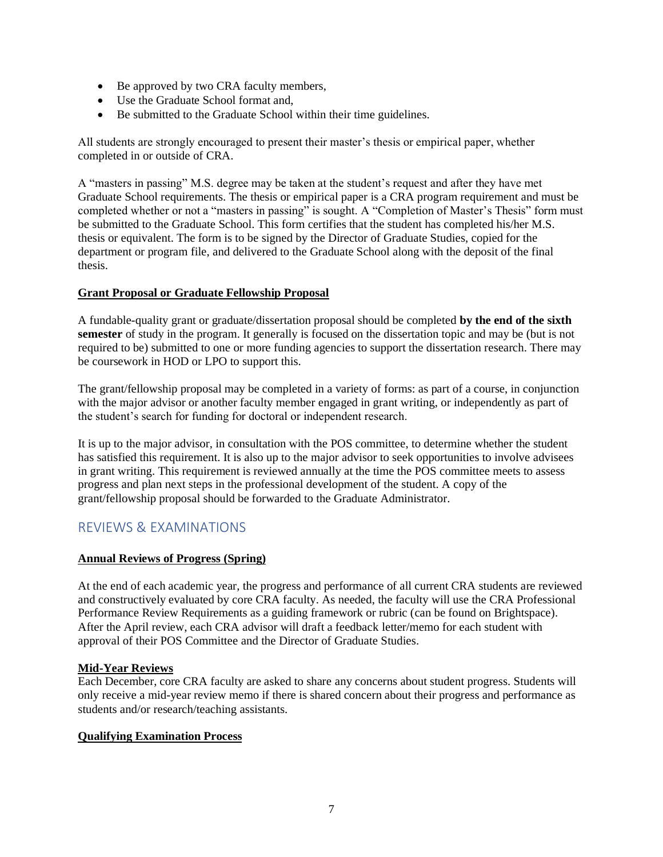- Be approved by two CRA faculty members,
- Use the Graduate School format and,
- Be submitted to the Graduate School within their time guidelines.

All students are strongly encouraged to present their master's thesis or empirical paper, whether completed in or outside of CRA.

A "masters in passing" M.S. degree may be taken at the student's request and after they have met Graduate School requirements. The thesis or empirical paper is a CRA program requirement and must be completed whether or not a "masters in passing" is sought. A "Completion of Master's Thesis" form must be submitted to the Graduate School. This form certifies that the student has completed his/her M.S. thesis or equivalent. The form is to be signed by the Director of Graduate Studies, copied for the department or program file, and delivered to the Graduate School along with the deposit of the final thesis.

#### **Grant Proposal or Graduate Fellowship Proposal**

A fundable-quality grant or graduate/dissertation proposal should be completed **by the end of the sixth semester** of study in the program. It generally is focused on the dissertation topic and may be (but is not required to be) submitted to one or more funding agencies to support the dissertation research. There may be coursework in HOD or LPO to support this.

The grant/fellowship proposal may be completed in a variety of forms: as part of a course, in conjunction with the major advisor or another faculty member engaged in grant writing, or independently as part of the student's search for funding for doctoral or independent research.

It is up to the major advisor, in consultation with the POS committee, to determine whether the student has satisfied this requirement. It is also up to the major advisor to seek opportunities to involve advisees in grant writing. This requirement is reviewed annually at the time the POS committee meets to assess progress and plan next steps in the professional development of the student. A copy of the grant/fellowship proposal should be forwarded to the Graduate Administrator.

# REVIEWS & EXAMINATIONS

#### **Annual Reviews of Progress (Spring)**

At the end of each academic year, the progress and performance of all current CRA students are reviewed and constructively evaluated by core CRA faculty. As needed, the faculty will use the CRA Professional Performance Review Requirements as a guiding framework or rubric (can be found on Brightspace). After the April review, each CRA advisor will draft a feedback letter/memo for each student with approval of their POS Committee and the Director of Graduate Studies.

#### **Mid-Year Reviews**

Each December, core CRA faculty are asked to share any concerns about student progress. Students will only receive a mid-year review memo if there is shared concern about their progress and performance as students and/or research/teaching assistants.

#### **Qualifying Examination Process**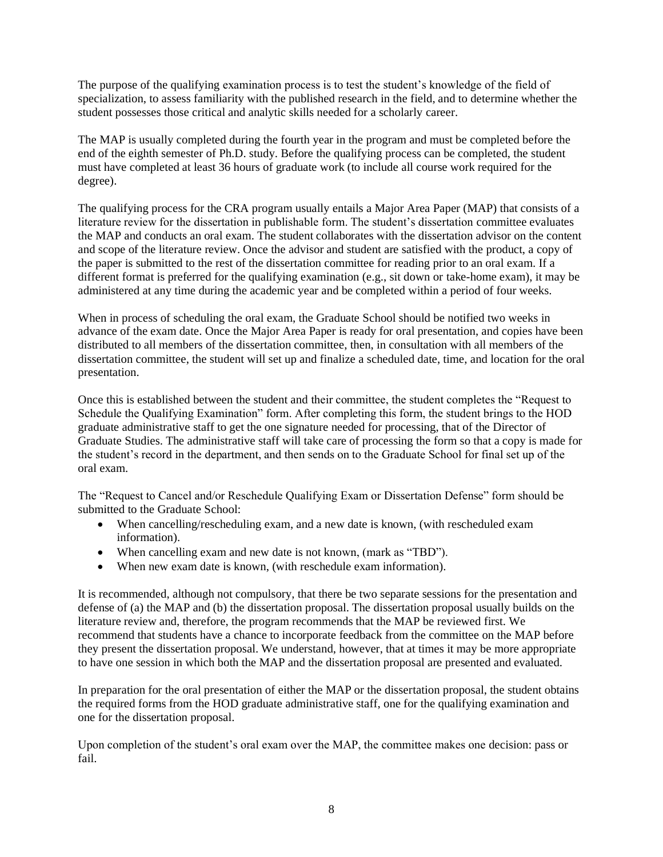The purpose of the qualifying examination process is to test the student's knowledge of the field of specialization, to assess familiarity with the published research in the field, and to determine whether the student possesses those critical and analytic skills needed for a scholarly career.

The MAP is usually completed during the fourth year in the program and must be completed before the end of the eighth semester of Ph.D. study. Before the qualifying process can be completed, the student must have completed at least 36 hours of graduate work (to include all course work required for the degree).

The qualifying process for the CRA program usually entails a Major Area Paper (MAP) that consists of a literature review for the dissertation in publishable form. The student's dissertation committee evaluates the MAP and conducts an oral exam. The student collaborates with the dissertation advisor on the content and scope of the literature review. Once the advisor and student are satisfied with the product, a copy of the paper is submitted to the rest of the dissertation committee for reading prior to an oral exam. If a different format is preferred for the qualifying examination (e.g., sit down or take-home exam), it may be administered at any time during the academic year and be completed within a period of four weeks.

When in process of scheduling the oral exam, the Graduate School should be notified two weeks in advance of the exam date. Once the Major Area Paper is ready for oral presentation, and copies have been distributed to all members of the dissertation committee, then, in consultation with all members of the dissertation committee, the student will set up and finalize a scheduled date, time, and location for the oral presentation.

Once this is established between the student and their committee, the student completes the "Request to Schedule the Qualifying Examination" form. After completing this form, the student brings to the HOD graduate administrative staff to get the one signature needed for processing, that of the Director of Graduate Studies. The administrative staff will take care of processing the form so that a copy is made for the student's record in the department, and then sends on to the Graduate School for final set up of the oral exam.

The "Request to Cancel and/or Reschedule Qualifying Exam or Dissertation Defense" form should be submitted to the Graduate School:

- When cancelling/rescheduling exam, and a new date is known, (with rescheduled exam information).
- When cancelling exam and new date is not known, (mark as "TBD").
- When new exam date is known, (with reschedule exam information).

It is recommended, although not compulsory, that there be two separate sessions for the presentation and defense of (a) the MAP and (b) the dissertation proposal. The dissertation proposal usually builds on the literature review and, therefore, the program recommends that the MAP be reviewed first. We recommend that students have a chance to incorporate feedback from the committee on the MAP before they present the dissertation proposal. We understand, however, that at times it may be more appropriate to have one session in which both the MAP and the dissertation proposal are presented and evaluated.

In preparation for the oral presentation of either the MAP or the dissertation proposal, the student obtains the required forms from the HOD graduate administrative staff, one for the qualifying examination and one for the dissertation proposal.

Upon completion of the student's oral exam over the MAP, the committee makes one decision: pass or fail.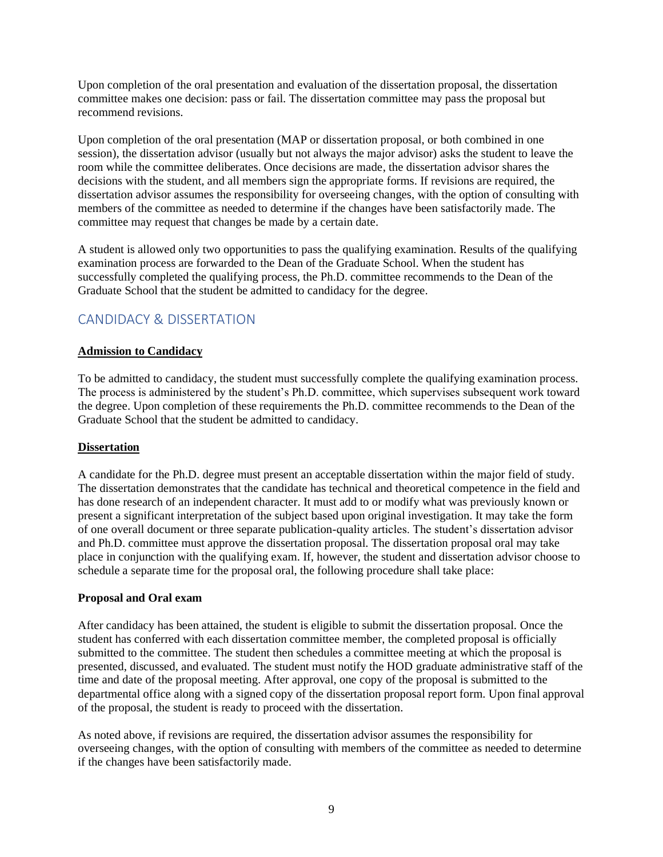Upon completion of the oral presentation and evaluation of the dissertation proposal, the dissertation committee makes one decision: pass or fail. The dissertation committee may pass the proposal but recommend revisions.

Upon completion of the oral presentation (MAP or dissertation proposal, or both combined in one session), the dissertation advisor (usually but not always the major advisor) asks the student to leave the room while the committee deliberates. Once decisions are made, the dissertation advisor shares the decisions with the student, and all members sign the appropriate forms. If revisions are required, the dissertation advisor assumes the responsibility for overseeing changes, with the option of consulting with members of the committee as needed to determine if the changes have been satisfactorily made. The committee may request that changes be made by a certain date.

A student is allowed only two opportunities to pass the qualifying examination. Results of the qualifying examination process are forwarded to the Dean of the Graduate School. When the student has successfully completed the qualifying process, the Ph.D. committee recommends to the Dean of the Graduate School that the student be admitted to candidacy for the degree.

# CANDIDACY & DISSERTATION

# **Admission to Candidacy**

To be admitted to candidacy, the student must successfully complete the qualifying examination process. The process is administered by the student's Ph.D. committee, which supervises subsequent work toward the degree. Upon completion of these requirements the Ph.D. committee recommends to the Dean of the Graduate School that the student be admitted to candidacy.

#### **Dissertation**

A candidate for the Ph.D. degree must present an acceptable dissertation within the major field of study. The dissertation demonstrates that the candidate has technical and theoretical competence in the field and has done research of an independent character. It must add to or modify what was previously known or present a significant interpretation of the subject based upon original investigation. It may take the form of one overall document or three separate publication-quality articles. The student's dissertation advisor and Ph.D. committee must approve the dissertation proposal. The dissertation proposal oral may take place in conjunction with the qualifying exam. If, however, the student and dissertation advisor choose to schedule a separate time for the proposal oral, the following procedure shall take place:

#### **Proposal and Oral exam**

After candidacy has been attained, the student is eligible to submit the dissertation proposal. Once the student has conferred with each dissertation committee member, the completed proposal is officially submitted to the committee. The student then schedules a committee meeting at which the proposal is presented, discussed, and evaluated. The student must notify the HOD graduate administrative staff of the time and date of the proposal meeting. After approval, one copy of the proposal is submitted to the departmental office along with a signed copy of the dissertation proposal report form. Upon final approval of the proposal, the student is ready to proceed with the dissertation.

As noted above, if revisions are required, the dissertation advisor assumes the responsibility for overseeing changes, with the option of consulting with members of the committee as needed to determine if the changes have been satisfactorily made.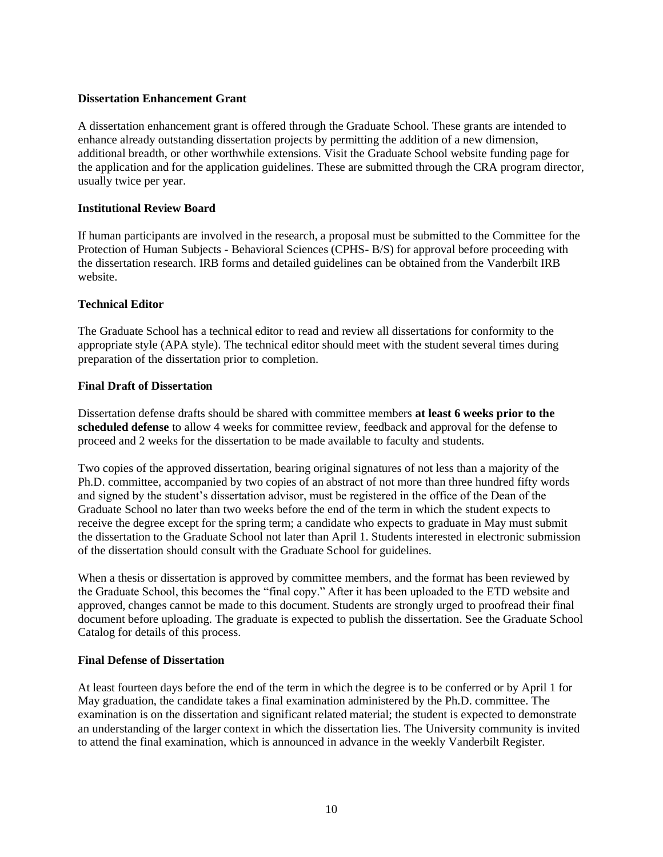### **Dissertation Enhancement Grant**

A dissertation enhancement grant is offered through the Graduate School. These grants are intended to enhance already outstanding dissertation projects by permitting the addition of a new dimension, additional breadth, or other worthwhile extensions. Visit the Graduate School website funding page for the application and for the application guidelines. These are submitted through the CRA program director, usually twice per year.

# **Institutional Review Board**

If human participants are involved in the research, a proposal must be submitted to the Committee for the Protection of Human Subjects - Behavioral Sciences (CPHS- B/S) for approval before proceeding with the dissertation research. IRB forms and detailed guidelines can be obtained from the Vanderbilt IRB website.

# **Technical Editor**

The Graduate School has a technical editor to read and review all dissertations for conformity to the appropriate style (APA style). The technical editor should meet with the student several times during preparation of the dissertation prior to completion.

# **Final Draft of Dissertation**

Dissertation defense drafts should be shared with committee members **at least 6 weeks prior to the scheduled defense** to allow 4 weeks for committee review, feedback and approval for the defense to proceed and 2 weeks for the dissertation to be made available to faculty and students.

Two copies of the approved dissertation, bearing original signatures of not less than a majority of the Ph.D. committee, accompanied by two copies of an abstract of not more than three hundred fifty words and signed by the student's dissertation advisor, must be registered in the office of the Dean of the Graduate School no later than two weeks before the end of the term in which the student expects to receive the degree except for the spring term; a candidate who expects to graduate in May must submit the dissertation to the Graduate School not later than April 1. Students interested in electronic submission of the dissertation should consult with the Graduate School for guidelines.

When a thesis or dissertation is approved by committee members, and the format has been reviewed by the Graduate School, this becomes the "final copy." After it has been uploaded to the ETD website and approved, changes cannot be made to this document. Students are strongly urged to proofread their final document before uploading. The graduate is expected to publish the dissertation. See the Graduate School Catalog for details of this process.

#### **Final Defense of Dissertation**

At least fourteen days before the end of the term in which the degree is to be conferred or by April 1 for May graduation, the candidate takes a final examination administered by the Ph.D. committee. The examination is on the dissertation and significant related material; the student is expected to demonstrate an understanding of the larger context in which the dissertation lies. The University community is invited to attend the final examination, which is announced in advance in the weekly Vanderbilt Register.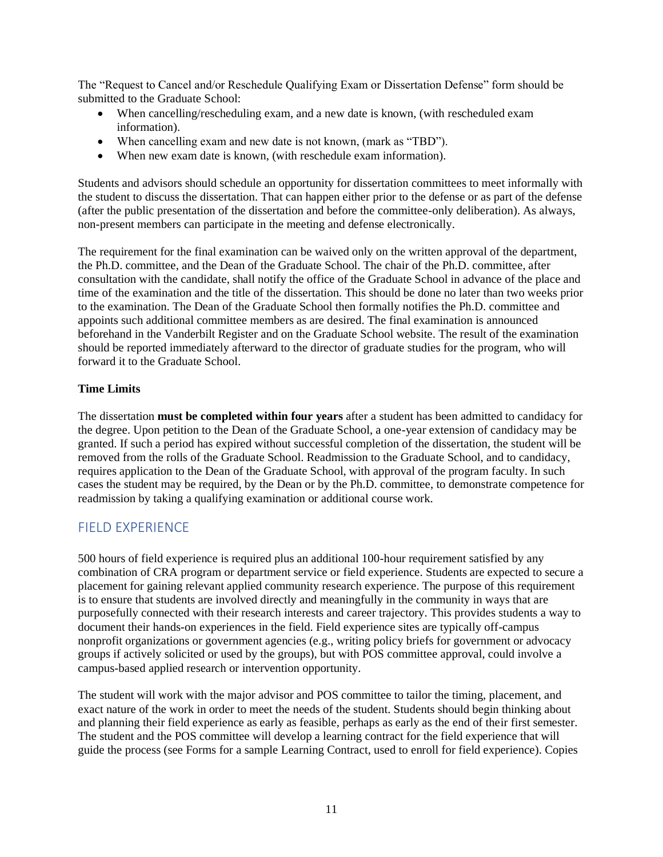The "Request to Cancel and/or Reschedule Qualifying Exam or Dissertation Defense" form should be submitted to the Graduate School:

- When cancelling/rescheduling exam, and a new date is known, (with rescheduled exam information).
- When cancelling exam and new date is not known, (mark as "TBD").
- When new exam date is known, (with reschedule exam information).

Students and advisors should schedule an opportunity for dissertation committees to meet informally with the student to discuss the dissertation. That can happen either prior to the defense or as part of the defense (after the public presentation of the dissertation and before the committee-only deliberation). As always, non-present members can participate in the meeting and defense electronically.

The requirement for the final examination can be waived only on the written approval of the department, the Ph.D. committee, and the Dean of the Graduate School. The chair of the Ph.D. committee, after consultation with the candidate, shall notify the office of the Graduate School in advance of the place and time of the examination and the title of the dissertation. This should be done no later than two weeks prior to the examination. The Dean of the Graduate School then formally notifies the Ph.D. committee and appoints such additional committee members as are desired. The final examination is announced beforehand in the Vanderbilt Register and on the Graduate School website. The result of the examination should be reported immediately afterward to the director of graduate studies for the program, who will forward it to the Graduate School.

#### **Time Limits**

The dissertation **must be completed within four years** after a student has been admitted to candidacy for the degree. Upon petition to the Dean of the Graduate School, a one-year extension of candidacy may be granted. If such a period has expired without successful completion of the dissertation, the student will be removed from the rolls of the Graduate School. Readmission to the Graduate School, and to candidacy, requires application to the Dean of the Graduate School, with approval of the program faculty. In such cases the student may be required, by the Dean or by the Ph.D. committee, to demonstrate competence for readmission by taking a qualifying examination or additional course work.

# FIELD EXPERIENCE

500 hours of field experience is required plus an additional 100-hour requirement satisfied by any combination of CRA program or department service or field experience. Students are expected to secure a placement for gaining relevant applied community research experience. The purpose of this requirement is to ensure that students are involved directly and meaningfully in the community in ways that are purposefully connected with their research interests and career trajectory. This provides students a way to document their hands-on experiences in the field. Field experience sites are typically off-campus nonprofit organizations or government agencies (e.g., writing policy briefs for government or advocacy groups if actively solicited or used by the groups), but with POS committee approval, could involve a campus-based applied research or intervention opportunity.

The student will work with the major advisor and POS committee to tailor the timing, placement, and exact nature of the work in order to meet the needs of the student. Students should begin thinking about and planning their field experience as early as feasible, perhaps as early as the end of their first semester. The student and the POS committee will develop a learning contract for the field experience that will guide the process (see Forms for a sample Learning Contract, used to enroll for field experience). Copies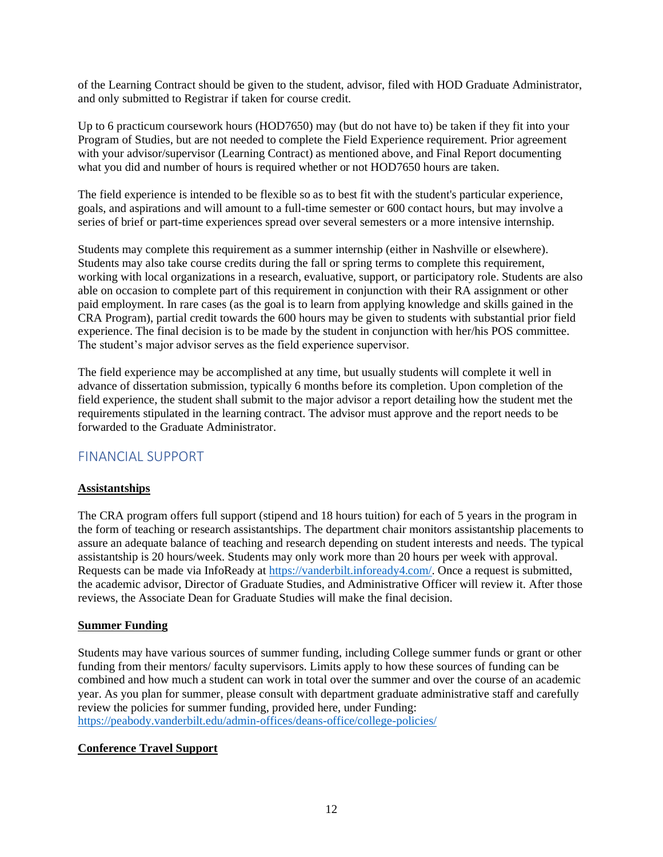of the Learning Contract should be given to the student, advisor, filed with HOD Graduate Administrator, and only submitted to Registrar if taken for course credit.

Up to 6 practicum coursework hours (HOD7650) may (but do not have to) be taken if they fit into your Program of Studies, but are not needed to complete the Field Experience requirement. Prior agreement with your advisor/supervisor (Learning Contract) as mentioned above, and Final Report documenting what you did and number of hours is required whether or not HOD7650 hours are taken.

The field experience is intended to be flexible so as to best fit with the student's particular experience, goals, and aspirations and will amount to a full-time semester or 600 contact hours, but may involve a series of brief or part-time experiences spread over several semesters or a more intensive internship.

Students may complete this requirement as a summer internship (either in Nashville or elsewhere). Students may also take course credits during the fall or spring terms to complete this requirement, working with local organizations in a research, evaluative, support, or participatory role. Students are also able on occasion to complete part of this requirement in conjunction with their RA assignment or other paid employment. In rare cases (as the goal is to learn from applying knowledge and skills gained in the CRA Program), partial credit towards the 600 hours may be given to students with substantial prior field experience. The final decision is to be made by the student in conjunction with her/his POS committee. The student's major advisor serves as the field experience supervisor.

The field experience may be accomplished at any time, but usually students will complete it well in advance of dissertation submission, typically 6 months before its completion. Upon completion of the field experience, the student shall submit to the major advisor a report detailing how the student met the requirements stipulated in the learning contract. The advisor must approve and the report needs to be forwarded to the Graduate Administrator.

# FINANCIAL SUPPORT

# **Assistantships**

The CRA program offers full support (stipend and 18 hours tuition) for each of 5 years in the program in the form of teaching or research assistantships. The department chair monitors assistantship placements to assure an adequate balance of teaching and research depending on student interests and needs. The typical assistantship is 20 hours/week. Students may only work more than 20 hours per week with approval. Requests can be made via InfoReady at [https://vanderbilt.infoready4.com/.](https://vanderbilt.infoready4.com/) Once a request is submitted, the academic advisor, Director of Graduate Studies, and Administrative Officer will review it. After those reviews, the Associate Dean for Graduate Studies will make the final decision.

# **Summer Funding**

Students may have various sources of summer funding, including College summer funds or grant or other funding from their mentors/ faculty supervisors. Limits apply to how these sources of funding can be combined and how much a student can work in total over the summer and over the course of an academic year. As you plan for summer, please consult with department graduate administrative staff and carefully review the policies for summer funding, provided here, under Funding: <https://peabody.vanderbilt.edu/admin-offices/deans-office/college-policies/>

# **Conference Travel Support**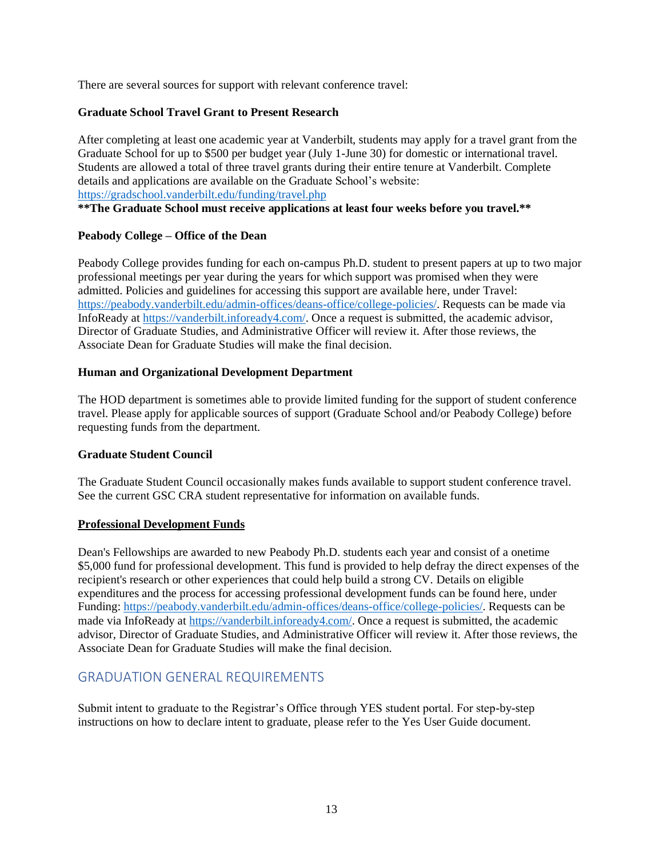There are several sources for support with relevant conference travel:

#### **Graduate School Travel Grant to Present Research**

After completing at least one academic year at Vanderbilt, students may apply for a travel grant from the Graduate School for up to \$500 per budget year (July 1-June 30) for domestic or international travel. Students are allowed a total of three travel grants during their entire tenure at Vanderbilt. Complete details and applications are available on the Graduate School's website: <https://gradschool.vanderbilt.edu/funding/travel.php>

**\*\*The Graduate School must receive applications at least four weeks before you travel.\*\***

#### **Peabody College – Office of the Dean**

Peabody College provides funding for each on-campus Ph.D. student to present papers at up to two major professional meetings per year during the years for which support was promised when they were admitted. Policies and guidelines for accessing this support are available here, under Travel: [https://peabody.vanderbilt.edu/admin-offices/deans-office/college-policies/.](https://peabody.vanderbilt.edu/admin-offices/deans-office/college-policies/) Requests can be made via InfoReady at [https://vanderbilt.infoready4.com/.](https://vanderbilt.infoready4.com/) Once a request is submitted, the academic advisor, Director of Graduate Studies, and Administrative Officer will review it. After those reviews, the Associate Dean for Graduate Studies will make the final decision.

#### **Human and Organizational Development Department**

The HOD department is sometimes able to provide limited funding for the support of student conference travel. Please apply for applicable sources of support (Graduate School and/or Peabody College) before requesting funds from the department.

#### **Graduate Student Council**

The Graduate Student Council occasionally makes funds available to support student conference travel. See the current GSC CRA student representative for information on available funds.

#### **Professional Development Funds**

Dean's Fellowships are awarded to new Peabody Ph.D. students each year and consist of a onetime \$5,000 fund for professional development. This fund is provided to help defray the direct expenses of the recipient's research or other experiences that could help build a strong CV. Details on eligible expenditures and the process for accessing professional development funds can be found here, under Funding: [https://peabody.vanderbilt.edu/admin-offices/deans-office/college-policies/.](https://peabody.vanderbilt.edu/admin-offices/deans-office/college-policies/) Requests can be made via InfoReady a[t https://vanderbilt.infoready4.com/.](https://vanderbilt.infoready4.com/) Once a request is submitted, the academic advisor, Director of Graduate Studies, and Administrative Officer will review it. After those reviews, the Associate Dean for Graduate Studies will make the final decision.

# GRADUATION GENERAL REQUIREMENTS

Submit intent to graduate to the Registrar's Office through YES student portal. For step-by-step instructions on how to declare intent to graduate, please refer to the Yes User Guide document.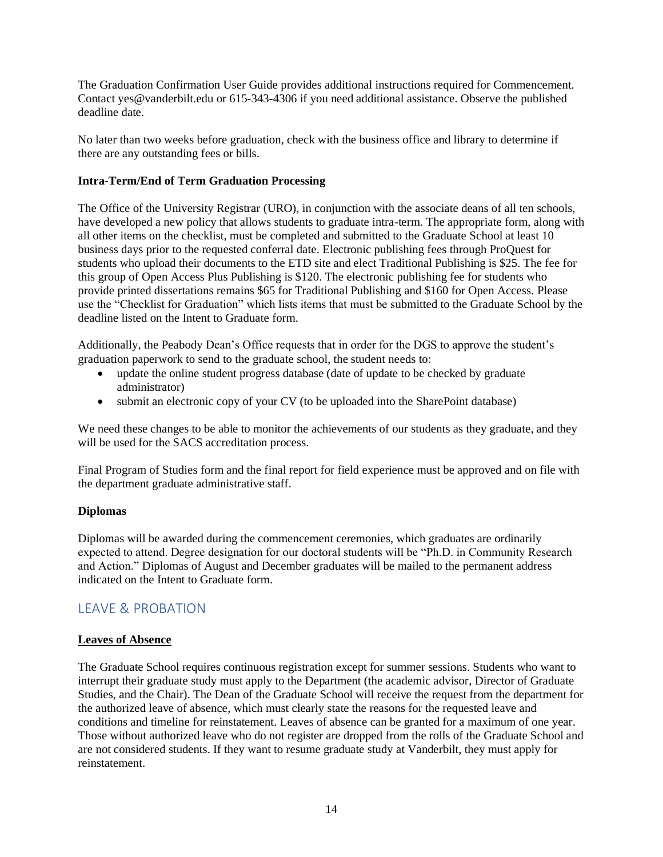The Graduation Confirmation User Guide provides additional instructions required for Commencement. Contact yes@vanderbilt.edu or 615-343-4306 if you need additional assistance. Observe the published deadline date.

No later than two weeks before graduation, check with the business office and library to determine if there are any outstanding fees or bills.

### **Intra-Term/End of Term Graduation Processing**

The Office of the University Registrar (URO), in conjunction with the associate deans of all ten schools, have developed a new policy that allows students to graduate intra-term. The appropriate form, along with all other items on the checklist, must be completed and submitted to the Graduate School at least 10 business days prior to the requested conferral date. Electronic publishing fees through ProQuest for students who upload their documents to the ETD site and elect Traditional Publishing is \$25. The fee for this group of Open Access Plus Publishing is \$120. The electronic publishing fee for students who provide printed dissertations remains \$65 for Traditional Publishing and \$160 for Open Access. Please use the "Checklist for Graduation" which lists items that must be submitted to the Graduate School by the deadline listed on the Intent to Graduate form.

Additionally, the Peabody Dean's Office requests that in order for the DGS to approve the student's graduation paperwork to send to the graduate school, the student needs to:

- update the online student progress database (date of update to be checked by graduate administrator)
- submit an electronic copy of your CV (to be uploaded into the SharePoint database)

We need these changes to be able to monitor the achievements of our students as they graduate, and they will be used for the SACS accreditation process.

Final Program of Studies form and the final report for field experience must be approved and on file with the department graduate administrative staff.

#### **Diplomas**

Diplomas will be awarded during the commencement ceremonies, which graduates are ordinarily expected to attend. Degree designation for our doctoral students will be "Ph.D. in Community Research and Action." Diplomas of August and December graduates will be mailed to the permanent address indicated on the Intent to Graduate form.

# LEAVE & PROBATION

# **Leaves of Absence**

The Graduate School requires continuous registration except for summer sessions. Students who want to interrupt their graduate study must apply to the Department (the academic advisor, Director of Graduate Studies, and the Chair). The Dean of the Graduate School will receive the request from the department for the authorized leave of absence, which must clearly state the reasons for the requested leave and conditions and timeline for reinstatement. Leaves of absence can be granted for a maximum of one year. Those without authorized leave who do not register are dropped from the rolls of the Graduate School and are not considered students. If they want to resume graduate study at Vanderbilt, they must apply for reinstatement.